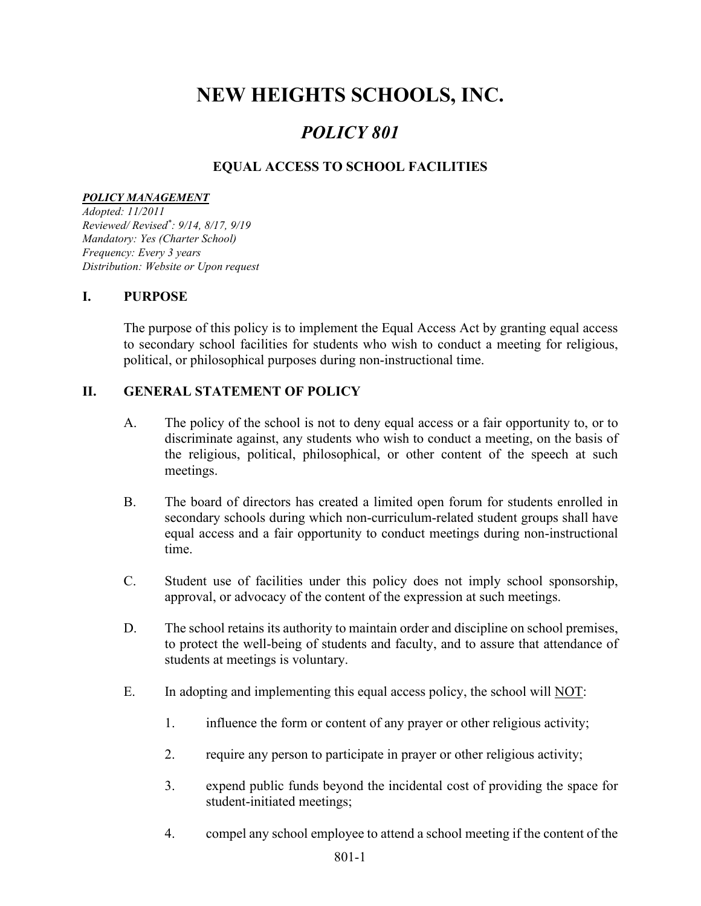# NEW HEIGHTS SCHOOLS, INC.

## POLICY 801

#### EQUAL ACCESS TO SCHOOL FACILITIES

#### POLICY MANAGEMENT

Adopted: 11/2011 Reviewed/ Revised\* : 9/14, 8/17, 9/19 Mandatory: Yes (Charter School) Frequency: Every 3 years Distribution: Website or Upon request

#### I. PURPOSE

The purpose of this policy is to implement the Equal Access Act by granting equal access to secondary school facilities for students who wish to conduct a meeting for religious, political, or philosophical purposes during non-instructional time.

#### II. GENERAL STATEMENT OF POLICY

- A. The policy of the school is not to deny equal access or a fair opportunity to, or to discriminate against, any students who wish to conduct a meeting, on the basis of the religious, political, philosophical, or other content of the speech at such meetings.
- B. The board of directors has created a limited open forum for students enrolled in secondary schools during which non-curriculum-related student groups shall have equal access and a fair opportunity to conduct meetings during non-instructional time.
- C. Student use of facilities under this policy does not imply school sponsorship, approval, or advocacy of the content of the expression at such meetings.
- D. The school retains its authority to maintain order and discipline on school premises, to protect the well-being of students and faculty, and to assure that attendance of students at meetings is voluntary.
- E. In adopting and implementing this equal access policy, the school will NOT:
	- 1. influence the form or content of any prayer or other religious activity;
	- 2. require any person to participate in prayer or other religious activity;
	- 3. expend public funds beyond the incidental cost of providing the space for student-initiated meetings;
	- 4. compel any school employee to attend a school meeting if the content of the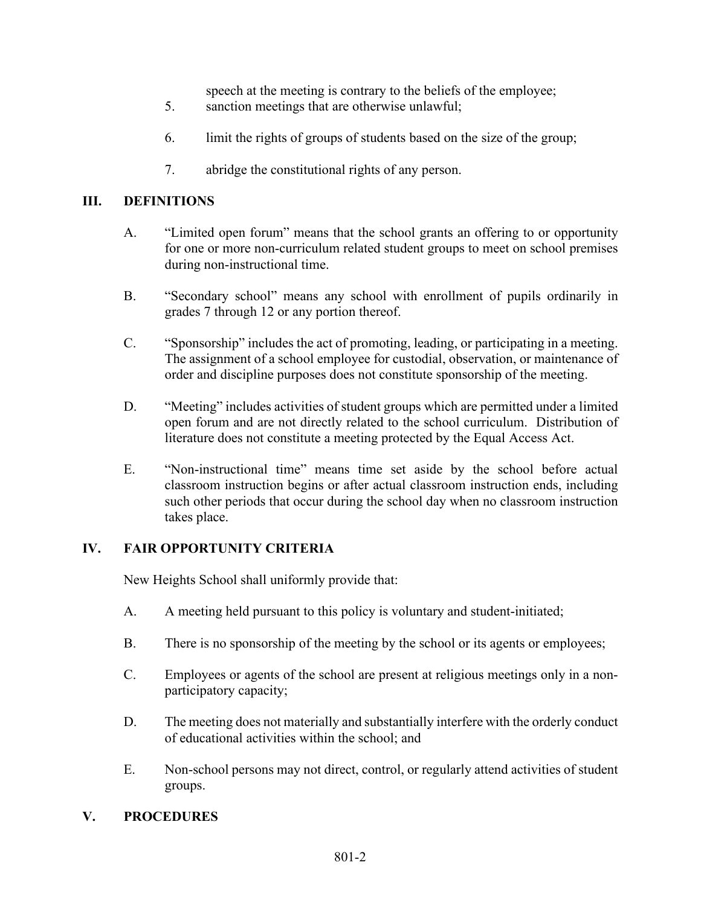speech at the meeting is contrary to the beliefs of the employee;

- 5. sanction meetings that are otherwise unlawful;
- 6. limit the rights of groups of students based on the size of the group;
- 7. abridge the constitutional rights of any person.

#### III. DEFINITIONS

- A. "Limited open forum" means that the school grants an offering to or opportunity for one or more non-curriculum related student groups to meet on school premises during non-instructional time.
- B. "Secondary school" means any school with enrollment of pupils ordinarily in grades 7 through 12 or any portion thereof.
- C. "Sponsorship" includes the act of promoting, leading, or participating in a meeting. The assignment of a school employee for custodial, observation, or maintenance of order and discipline purposes does not constitute sponsorship of the meeting.
- D. "Meeting" includes activities of student groups which are permitted under a limited open forum and are not directly related to the school curriculum. Distribution of literature does not constitute a meeting protected by the Equal Access Act.
- E. "Non-instructional time" means time set aside by the school before actual classroom instruction begins or after actual classroom instruction ends, including such other periods that occur during the school day when no classroom instruction takes place.

#### IV. FAIR OPPORTUNITY CRITERIA

New Heights School shall uniformly provide that:

- A. A meeting held pursuant to this policy is voluntary and student-initiated;
- B. There is no sponsorship of the meeting by the school or its agents or employees;
- C. Employees or agents of the school are present at religious meetings only in a nonparticipatory capacity;
- D. The meeting does not materially and substantially interfere with the orderly conduct of educational activities within the school; and
- E. Non-school persons may not direct, control, or regularly attend activities of student groups.

#### V. PROCEDURES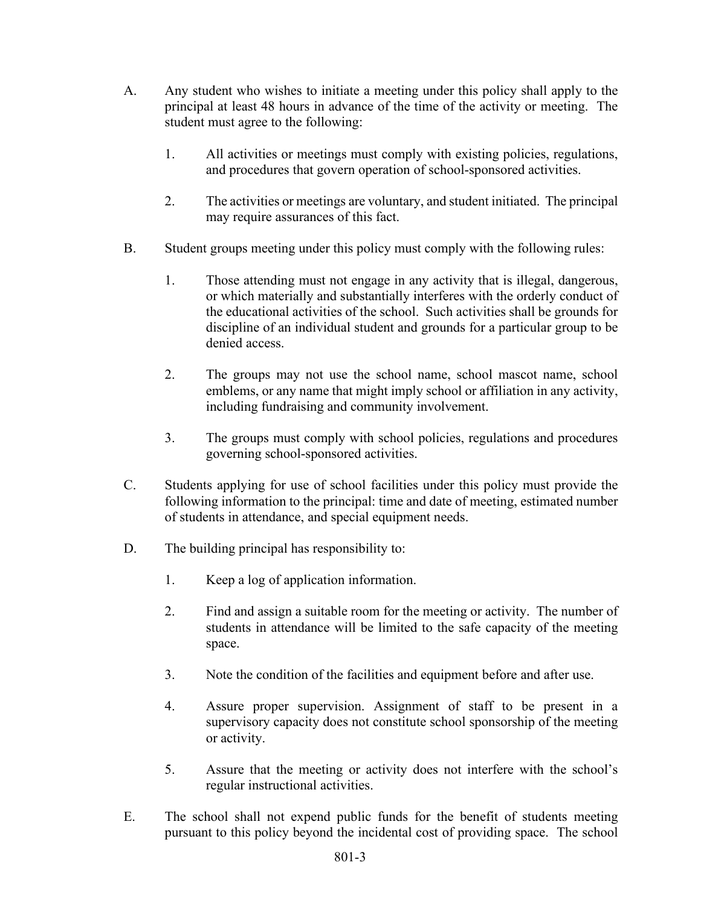- A. Any student who wishes to initiate a meeting under this policy shall apply to the principal at least 48 hours in advance of the time of the activity or meeting. The student must agree to the following:
	- 1. All activities or meetings must comply with existing policies, regulations, and procedures that govern operation of school-sponsored activities.
	- 2. The activities or meetings are voluntary, and student initiated. The principal may require assurances of this fact.
- B. Student groups meeting under this policy must comply with the following rules:
	- 1. Those attending must not engage in any activity that is illegal, dangerous, or which materially and substantially interferes with the orderly conduct of the educational activities of the school. Such activities shall be grounds for discipline of an individual student and grounds for a particular group to be denied access.
	- 2. The groups may not use the school name, school mascot name, school emblems, or any name that might imply school or affiliation in any activity, including fundraising and community involvement.
	- 3. The groups must comply with school policies, regulations and procedures governing school-sponsored activities.
- C. Students applying for use of school facilities under this policy must provide the following information to the principal: time and date of meeting, estimated number of students in attendance, and special equipment needs.
- D. The building principal has responsibility to:
	- 1. Keep a log of application information.
	- 2. Find and assign a suitable room for the meeting or activity. The number of students in attendance will be limited to the safe capacity of the meeting space.
	- 3. Note the condition of the facilities and equipment before and after use.
	- 4. Assure proper supervision. Assignment of staff to be present in a supervisory capacity does not constitute school sponsorship of the meeting or activity.
	- 5. Assure that the meeting or activity does not interfere with the school's regular instructional activities.
- E. The school shall not expend public funds for the benefit of students meeting pursuant to this policy beyond the incidental cost of providing space. The school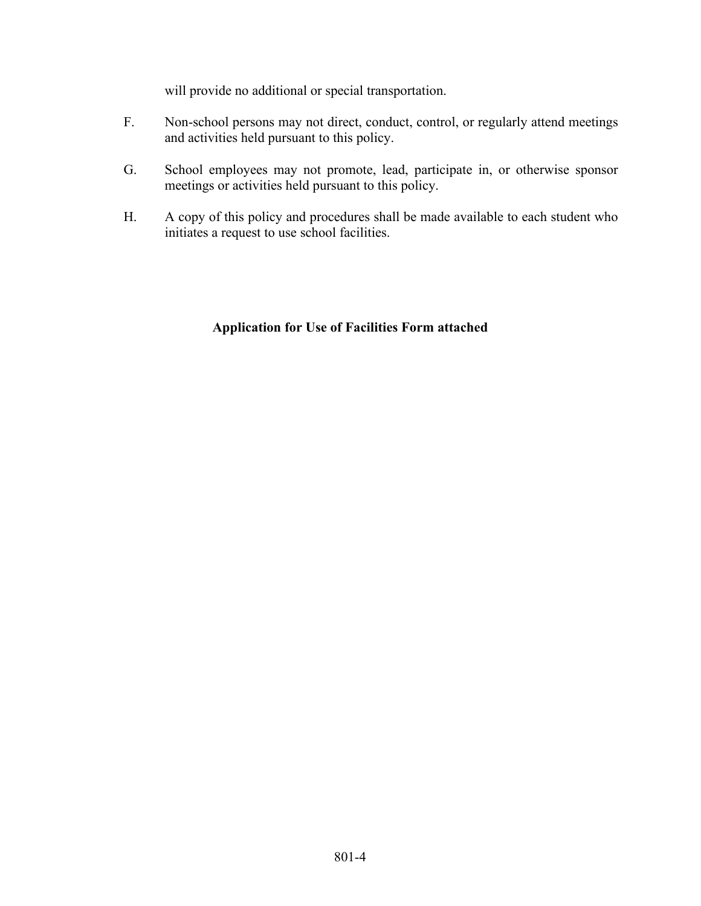will provide no additional or special transportation.

- F. Non-school persons may not direct, conduct, control, or regularly attend meetings and activities held pursuant to this policy.
- G. School employees may not promote, lead, participate in, or otherwise sponsor meetings or activities held pursuant to this policy.
- H. A copy of this policy and procedures shall be made available to each student who initiates a request to use school facilities.

#### Application for Use of Facilities Form attached